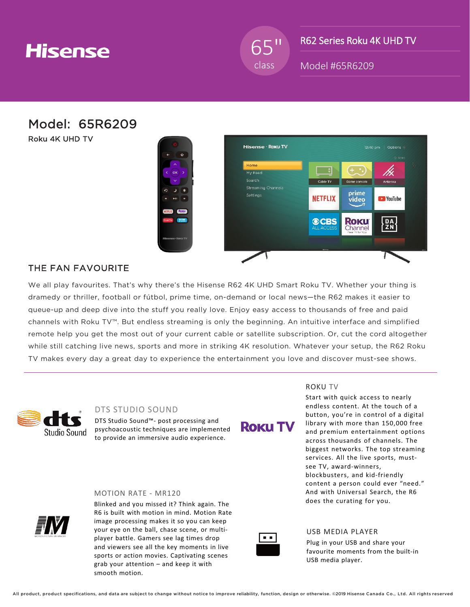# **Hisense**

65" class

R62 Series Roku 4K UHD TV

Model #65R6209

Model: 65R6209

Roku 4K UHD TV



### THE FAN FAVOURITE

We all play favourites. That's why there's the Hisense R62 4K UHD Smart Roku TV. Whether your thing is dramedy or thriller, football or fútbol, prime time, on-demand or local news—the R62 makes it easier to queue-up and deep dive into the stuff you really love. Enjoy easy access to thousands of free and paid channels with Roku TV™. But endless streaming is only the beginning. An intuitive interface and simplified remote help you get the most out of your current cable or satellite subscription. Or, cut the cord altogether while still catching live news, sports and more in striking 4K resolution. Whatever your setup, the R62 Roku TV makes every day a great day to experience the entertainment you love and discover must-see shows.



### DTS STUDIO SOUND

MOTION RATE - MR120

DTS Studio Sound™- post processing and psychoacoustic techniques are implemented to provide an immersive audio experience.



#### ROKU TV

Start with quick access to nearly endless content. At the touch of a button, you're in control of a digital library with more than 150,000 free and premium entertainment options across thousands of channels. The biggest networks. The top streaming services. All the live sports, mustsee TV, award-winners, blockbusters, and kid-friendly content a person could ever "need." And with Universal Search, the R6 does the curating for you.



Blinked and you missed it? Think again. The R6 is built with motion in mind. Motion Rate image processing makes it so you can keep your eye on the ball, chase scene, or multiplayer battle. Gamers see lag times drop and viewers see all the key moments in live sports or action movies. Captivating scenes grab your attention – and keep it with smooth motion.



#### USB MEDIA PLAYER

Plug in your USB and share your favourite moments from the built-in USB media player.